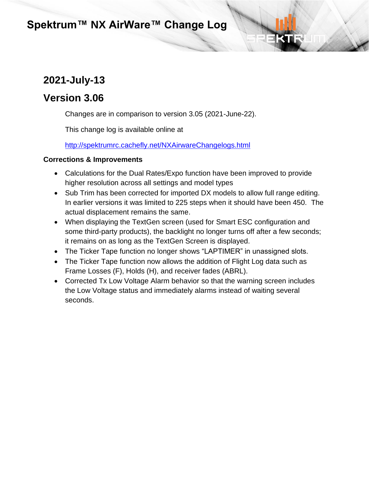# **2021-July-13**

### **Version 3.06**

Changes are in comparison to version 3.05 (2021-June-22).

This change log is available online at

<http://spektrumrc.cachefly.net/NXAirwareChangelogs.html>

- Calculations for the Dual Rates/Expo function have been improved to provide higher resolution across all settings and model types
- Sub Trim has been corrected for imported DX models to allow full range editing. In earlier versions it was limited to 225 steps when it should have been 450. The actual displacement remains the same.
- When displaying the TextGen screen (used for Smart ESC configuration and some third-party products), the backlight no longer turns off after a few seconds; it remains on as long as the TextGen Screen is displayed.
- The Ticker Tape function no longer shows "LAPTIMER" in unassigned slots.
- The Ticker Tape function now allows the addition of Flight Log data such as Frame Losses (F), Holds (H), and receiver fades (ABRL).
- Corrected Tx Low Voltage Alarm behavior so that the warning screen includes the Low Voltage status and immediately alarms instead of waiting several seconds.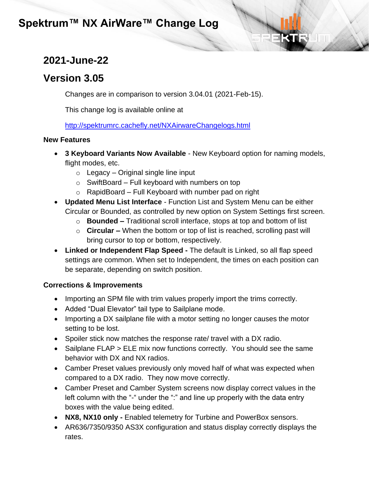# **2021-June-22**

# **Version 3.05**

Changes are in comparison to version 3.04.01 (2021-Feb-15).

This change log is available online at

<http://spektrumrc.cachefly.net/NXAirwareChangelogs.html>

#### **New Features**

- **3 Keyboard Variants Now Available** New Keyboard option for naming models, flight modes, etc.
	- $\circ$  Legacy Original single line input
	- $\circ$  SwiftBoard Full keyboard with numbers on top
	- $\circ$  RapidBoard Full Keyboard with number pad on right
- **Updated Menu List Interface** Function List and System Menu can be either Circular or Bounded, as controlled by new option on System Settings first screen.
	- o **Bounded –** Traditional scroll interface, stops at top and bottom of list
	- o **Circular –** When the bottom or top of list is reached, scrolling past will bring cursor to top or bottom, respectively.
- **Linked or Independent Flap Speed -** The default is Linked, so all flap speed settings are common. When set to Independent, the times on each position can be separate, depending on switch position.

- Importing an SPM file with trim values properly import the trims correctly.
- Added "Dual Elevator" tail type to Sailplane mode.
- Importing a DX sailplane file with a motor setting no longer causes the motor setting to be lost.
- Spoiler stick now matches the response rate/ travel with a DX radio.
- Sailplane FLAP > ELE mix now functions correctly. You should see the same behavior with DX and NX radios.
- Camber Preset values previously only moved half of what was expected when compared to a DX radio. They now move correctly.
- Camber Preset and Camber System screens now display correct values in the left column with the "-" under the ":" and line up properly with the data entry boxes with the value being edited.
- **NX8, NX10 only -** Enabled telemetry for Turbine and PowerBox sensors.
- AR636/7350/9350 AS3X configuration and status display correctly displays the rates.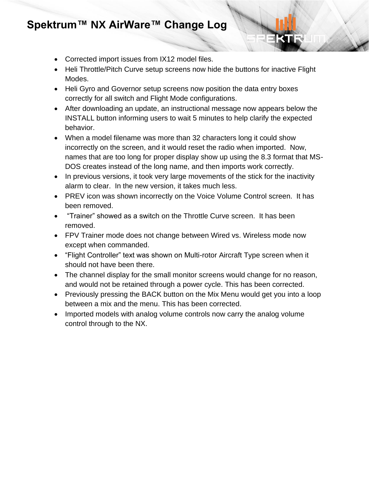- Corrected import issues from IX12 model files.
- Heli Throttle/Pitch Curve setup screens now hide the buttons for inactive Flight Modes.
- Heli Gyro and Governor setup screens now position the data entry boxes correctly for all switch and Flight Mode configurations.
- After downloading an update, an instructional message now appears below the INSTALL button informing users to wait 5 minutes to help clarify the expected behavior.
- When a model filename was more than 32 characters long it could show incorrectly on the screen, and it would reset the radio when imported. Now, names that are too long for proper display show up using the 8.3 format that MS-DOS creates instead of the long name, and then imports work correctly.
- In previous versions, it took very large movements of the stick for the inactivity alarm to clear. In the new version, it takes much less.
- PREV icon was shown incorrectly on the Voice Volume Control screen. It has been removed.
- "Trainer" showed as a switch on the Throttle Curve screen. It has been removed.
- FPV Trainer mode does not change between Wired vs. Wireless mode now except when commanded.
- "Flight Controller" text was shown on Multi-rotor Aircraft Type screen when it should not have been there.
- The channel display for the small monitor screens would change for no reason, and would not be retained through a power cycle. This has been corrected.
- Previously pressing the BACK button on the Mix Menu would get you into a loop between a mix and the menu. This has been corrected.
- Imported models with analog volume controls now carry the analog volume control through to the NX.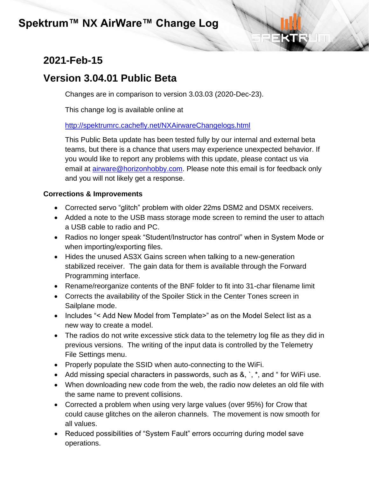# **2021-Feb-15**

## **Version 3.04.01 Public Beta**

Changes are in comparison to version 3.03.03 (2020-Dec-23).

This change log is available online at

#### <http://spektrumrc.cachefly.net/NXAirwareChangelogs.html>

This Public Beta update has been tested fully by our internal and external beta teams, but there is a chance that users may experience unexpected behavior. If you would like to report any problems with this update, please contact us via email at [airware@horizonhobby.com.](mailto:airware@horizonhobby.com) Please note this email is for feedback only and you will not likely get a response.

- Corrected servo "glitch" problem with older 22ms DSM2 and DSMX receivers.
- Added a note to the USB mass storage mode screen to remind the user to attach a USB cable to radio and PC.
- Radios no longer speak "Student/Instructor has control" when in System Mode or when importing/exporting files.
- Hides the unused AS3X Gains screen when talking to a new-generation stabilized receiver. The gain data for them is available through the Forward Programming interface.
- Rename/reorganize contents of the BNF folder to fit into 31-char filename limit
- Corrects the availability of the Spoiler Stick in the Center Tones screen in Sailplane mode.
- Includes "< Add New Model from Template>" as on the Model Select list as a new way to create a model.
- The radios do not write excessive stick data to the telemetry log file as they did in previous versions. The writing of the input data is controlled by the Telemetry File Settings menu.
- Properly populate the SSID when auto-connecting to the WiFi.
- Add missing special characters in passwords, such as &, `, \*, and " for WiFi use.
- When downloading new code from the web, the radio now deletes an old file with the same name to prevent collisions.
- Corrected a problem when using very large values (over 95%) for Crow that could cause glitches on the aileron channels. The movement is now smooth for all values.
- Reduced possibilities of "System Fault" errors occurring during model save operations.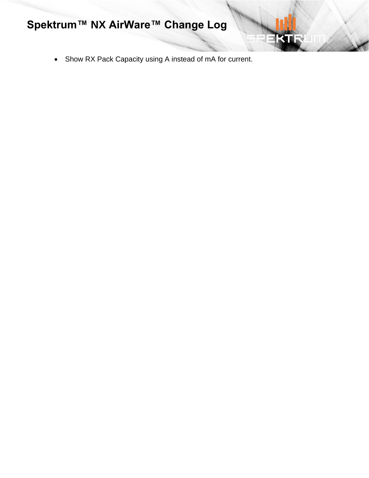• Show RX Pack Capacity using A instead of mA for current.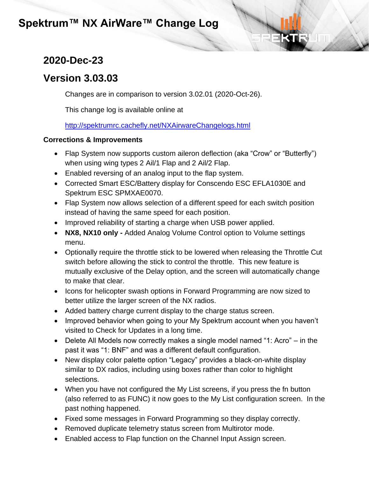## **2020-Dec-23**

## **Version 3.03.03**

Changes are in comparison to version 3.02.01 (2020-Oct-26).

This change log is available online at

<http://spektrumrc.cachefly.net/NXAirwareChangelogs.html>

- Flap System now supports custom aileron deflection (aka "Crow" or "Butterfly") when using wing types 2 Ail/1 Flap and 2 Ail/2 Flap.
- Enabled reversing of an analog input to the flap system.
- Corrected Smart ESC/Battery display for Conscendo ESC EFLA1030E and Spektrum ESC SPMXAE0070.
- Flap System now allows selection of a different speed for each switch position instead of having the same speed for each position.
- Improved reliability of starting a charge when USB power applied.
- **NX8, NX10 only -** Added Analog Volume Control option to Volume settings menu.
- Optionally require the throttle stick to be lowered when releasing the Throttle Cut switch before allowing the stick to control the throttle. This new feature is mutually exclusive of the Delay option, and the screen will automatically change to make that clear.
- Icons for helicopter swash options in Forward Programming are now sized to better utilize the larger screen of the NX radios.
- Added battery charge current display to the charge status screen.
- Improved behavior when going to your My Spektrum account when you haven't visited to Check for Updates in a long time.
- Delete All Models now correctly makes a single model named "1: Acro" in the past it was "1: BNF" and was a different default configuration.
- New display color palette option "Legacy" provides a black-on-white display similar to DX radios, including using boxes rather than color to highlight selections.
- When you have not configured the My List screens, if you press the fn button (also referred to as FUNC) it now goes to the My List configuration screen. In the past nothing happened.
- Fixed some messages in Forward Programming so they display correctly.
- Removed duplicate telemetry status screen from Multirotor mode.
- Enabled access to Flap function on the Channel Input Assign screen.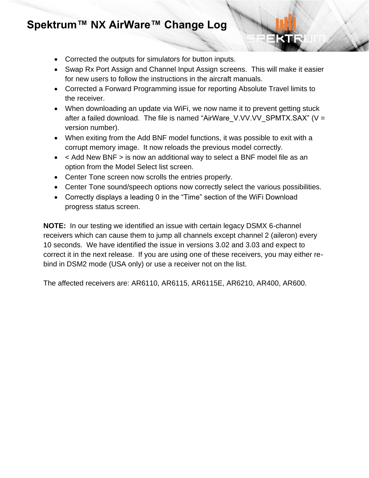- Corrected the outputs for simulators for button inputs.
- Swap Rx Port Assign and Channel Input Assign screens. This will make it easier for new users to follow the instructions in the aircraft manuals.
- Corrected a Forward Programming issue for reporting Absolute Travel limits to the receiver.
- When downloading an update via WiFi, we now name it to prevent getting stuck after a failed download. The file is named "AirWare\_V.VV.VV\_SPMTX.SAX" (V = version number).
- When exiting from the Add BNF model functions, it was possible to exit with a corrupt memory image. It now reloads the previous model correctly.
- < Add New BNF > is now an additional way to select a BNF model file as an option from the Model Select list screen.
- Center Tone screen now scrolls the entries properly.
- Center Tone sound/speech options now correctly select the various possibilities.
- Correctly displays a leading 0 in the "Time" section of the WiFi Download progress status screen.

**NOTE:** In our testing we identified an issue with certain legacy DSMX 6-channel receivers which can cause them to jump all channels except channel 2 (aileron) every 10 seconds. We have identified the issue in versions 3.02 and 3.03 and expect to correct it in the next release. If you are using one of these receivers, you may either rebind in DSM2 mode (USA only) or use a receiver not on the list.

The affected receivers are: AR6110, AR6115, AR6115E, AR6210, AR400, AR600.